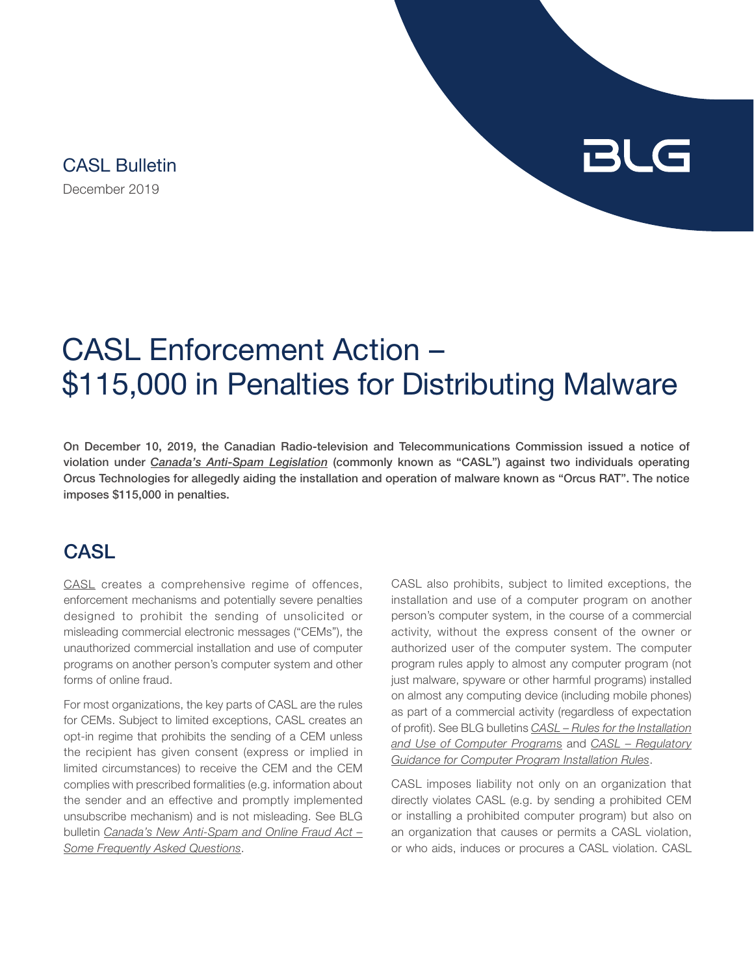December 2019 CASL Bulletin

# BLG

## CASL Enforcement Action – \$115,000 in Penalties for Distributing Malware

On December 10, 2019, the Canadian Radio-television and Telecommunications Commission issued a notice of violation under *[Canada's Anti-Spam Legislation](https://www.canlii.org/en/ca/laws/stat/sc-2010-c-23/latest/sc-2010-c-23.html)* (commonly known as "CASL") against two individuals operating Orcus Technologies for allegedly aiding the installation and operation of malware known as "Orcus RAT". The notice imposes \$115,000 in penalties.

#### **CASL**

[CASL](https://www.canlii.org/en/ca/laws/stat/sc-2010-c-23/latest/sc-2010-c-23.html) creates a comprehensive regime of offences, enforcement mechanisms and potentially severe penalties designed to prohibit the sending of unsolicited or misleading commercial electronic messages ("CEMs"), the unauthorized commercial installation and use of computer programs on another person's computer system and other forms of online fraud.

For most organizations, the key parts of CASL are the rules for CEMs. Subject to limited exceptions, CASL creates an opt-in regime that prohibits the sending of a CEM unless the recipient has given consent (express or implied in limited circumstances) to receive the CEM and the CEM complies with prescribed formalities (e.g. information about the sender and an effective and promptly implemented unsubscribe mechanism) and is not misleading. See BLG bulletin *[Canada's New Anti-Spam and Online Fraud Act –](https://blg.com/en/News-And-Publications/Documents/Publication_3707_1033.pdf) [Some Frequently Asked Questions](https://blg.com/en/News-And-Publications/Documents/Publication_3707_1033.pdf)*.

CASL also prohibits, subject to limited exceptions, the installation and use of a computer program on another person's computer system, in the course of a commercial activity, without the express consent of the owner or authorized user of the computer system. The computer program rules apply to almost any computer program (not just malware, spyware or other harmful programs) installed on almost any computing device (including mobile phones) as part of a commercial activity (regardless of expectation of profit). See BLG bulletins *[CASL – Rules for the Installation](https://blg.com/en/News-And-Publications/Documents/Publication_3861_1033.pdf)  [and Use of Computer Program](https://blg.com/en/News-And-Publications/Documents/Publication_3861_1033.pdf)*s and *[CASL – Regulatory](https://blg.com/en/News-And-Publications/Documents/Publication_3890_1033.pdf)  [Guidance for Computer Program Installation Rules](https://blg.com/en/News-And-Publications/Documents/Publication_3890_1033.pdf)*.

CASL imposes liability not only on an organization that directly violates CASL (e.g. by sending a prohibited CEM or installing a prohibited computer program) but also on an organization that causes or permits a CASL violation, or who aids, induces or procures a CASL violation. CASL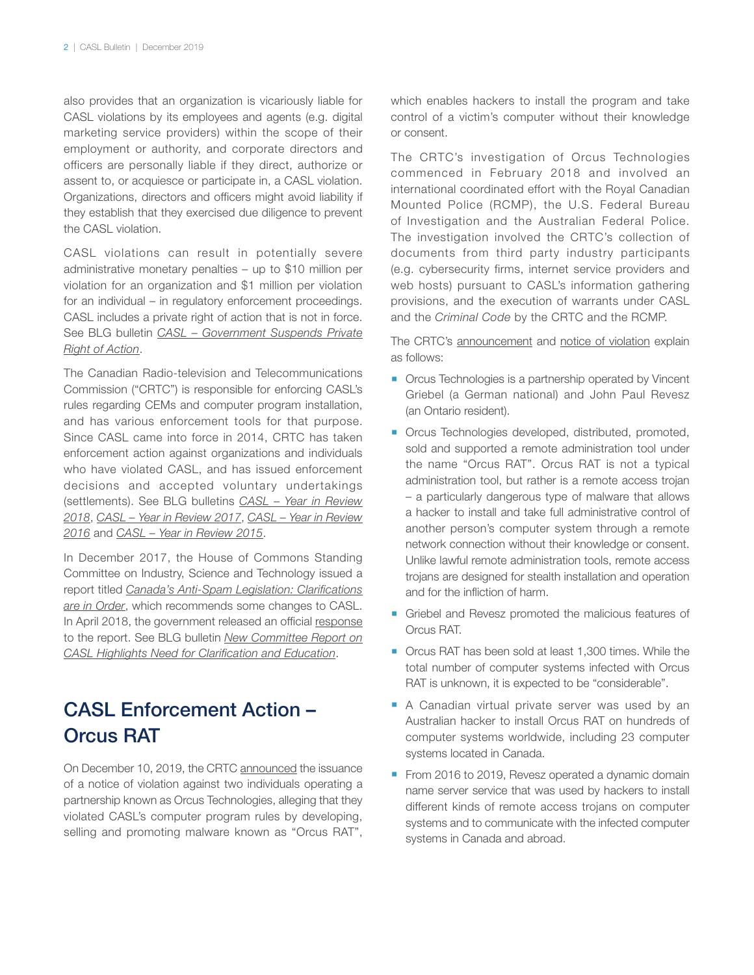also provides that an organization is vicariously liable for CASL violations by its employees and agents (e.g. digital marketing service providers) within the scope of their employment or authority, and corporate directors and officers are personally liable if they direct, authorize or assent to, or acquiesce or participate in, a CASL violation. Organizations, directors and officers might avoid liability if they establish that they exercised due diligence to prevent the CASL violation.

CASL violations can result in potentially severe administrative monetary penalties – up to \$10 million per violation for an organization and \$1 million per violation for an individual – in regulatory enforcement proceedings. CASL includes a private right of action that is not in force. See BLG bulletin *[CASL – Government Suspends Private](https://blg.com/en/News-And-Publications/Documents/Publication_4961_1033.pdf) [Right of Action](https://blg.com/en/News-And-Publications/Documents/Publication_4961_1033.pdf)*.

The Canadian Radio-television and Telecommunications Commission ("CRTC") is responsible for enforcing CASL's rules regarding CEMs and computer program installation, and has various enforcement tools for that purpose. Since CASL came into force in 2014, CRTC has taken enforcement action against organizations and individuals who have violated CASL, and has issued enforcement decisions and accepted voluntary undertakings (settlements). See BLG bulletins *[CASL – Year in Review](https://blg.com/en/News-And-Publications/Documents/Publication_5527_1033.pdf) [2018](https://blg.com/en/News-And-Publications/Documents/Publication_5527_1033.pdf)*, *[CASL – Year in Review 2017](https://blg.com/en/News-And-Publications/Documents/Publication_5172_1033.pdf)*, *[CASL – Year in Review](https://blg.com/en/News-And-Publications/Documents/Publication_4788_1033.pdf) [2016](https://blg.com/en/News-And-Publications/Documents/Publication_4788_1033.pdf)* and *[CASL – Year in Review 2015](https://blg.com/en/News-And-Publications/Documents/Publication_4357_1033.pdf)*.

In December 2017, the House of Commons Standing Committee on Industry, Science and Technology issued a report titled *[Canada's Anti-Spam Legislation: Clarifications](https://www.ourcommons.ca/Content/Committee/421/INDU/Reports/RP9330839/indurp10/indurp10-e.pdf) [are in Order](https://www.ourcommons.ca/Content/Committee/421/INDU/Reports/RP9330839/indurp10/indurp10-e.pdf)*, which recommends some changes to CASL. In April 2018, the government released an official [response](https://www.ourcommons.ca/content/Committee/421/INDU/GovResponse/RP9762984/421_INDU_Rpt10_GR/421_INDU_Rpt10_GR-e.pdf) to the report. See BLG bulletin *[New Committee Report on](https://blg.com/en/News-And-Publications/Documents/Publication_5165_1033.pdf) [CASL Highlights Need for Clarification and Education](https://blg.com/en/News-And-Publications/Documents/Publication_5165_1033.pdf)*.

### CASL Enforcement Action – Orcus RAT

On December 10, 2019, the CRTC [announced](https://www.canada.ca/en/radio-television-telecommunications/news/2019/12/crtc-issues-115000-in-penalties-to-stop-the-spread-of-malicious-software.html) the issuance of a notice of violation against two individuals operating a partnership known as Orcus Technologies, alleging that they violated CASL's computer program rules by developing, selling and promoting malware known as "Orcus RAT",

which enables hackers to install the program and take control of a victim's computer without their knowledge or consent.

The CRTC's investigation of Orcus Technologies commenced in February 2018 and involved an international coordinated effort with the Royal Canadian Mounted Police (RCMP), the U.S. Federal Bureau of Investigation and the Australian Federal Police. The investigation involved the CRTC's collection of documents from third party industry participants (e.g. cybersecurity firms, internet service providers and web hosts) pursuant to CASL's information gathering provisions, and the execution of warrants under CASL and the *Criminal Code* by the CRTC and the RCMP.

The CRTC's [announcement](https://www.canada.ca/en/radio-television-telecommunications/news/2019/12/crtc-issues-115000-in-penalties-to-stop-the-spread-of-malicious-software.html) and [notice of violation](https://crtc.gc.ca/eng/archive/2019/vt191210.htm) explain as follows:

- **Orcus Technologies is a partnership operated by Vincent** Griebel (a German national) and John Paul Revesz (an Ontario resident).
- **Orcus Technologies developed, distributed, promoted,** sold and supported a remote administration tool under the name "Orcus RAT". Orcus RAT is not a typical administration tool, but rather is a remote access trojan – a particularly dangerous type of malware that allows a hacker to install and take full administrative control of another person's computer system through a remote network connection without their knowledge or consent. Unlike lawful remote administration tools, remote access trojans are designed for stealth installation and operation and for the infliction of harm.
- Griebel and Revesz promoted the malicious features of Orcus RAT.
- Orcus RAT has been sold at least 1,300 times. While the total number of computer systems infected with Orcus RAT is unknown, it is expected to be "considerable".
- A Canadian virtual private server was used by an Australian hacker to install Orcus RAT on hundreds of computer systems worldwide, including 23 computer systems located in Canada.
- From 2016 to 2019, Revesz operated a dynamic domain name server service that was used by hackers to install different kinds of remote access trojans on computer systems and to communicate with the infected computer systems in Canada and abroad.